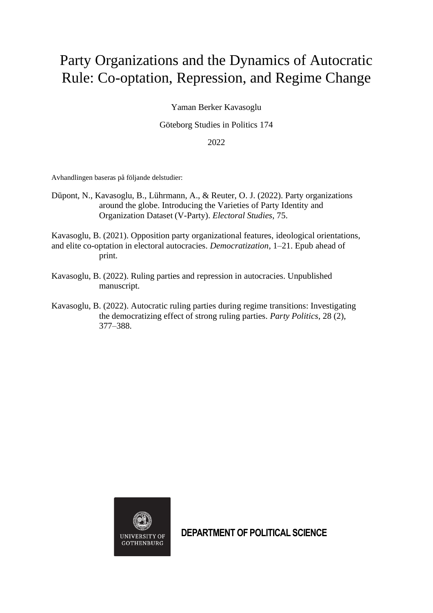## Party Organizations and the Dynamics of Autocratic Rule: Co-optation, Repression, and Regime Change

Yaman Berker Kavasoglu

Göteborg Studies in Politics 174

2022

Avhandlingen baseras på följande delstudier:

Düpont, N., Kavasoglu, B., Lührmann, A., & Reuter, O. J. (2022). Party organizations around the globe. Introducing the Varieties of Party Identity and Organization Dataset (V-Party). *Electoral Studies*, 75.

Kavasoglu, B. (2021). Opposition party organizational features, ideological orientations, and elite co-optation in electoral autocracies. *Democratization*, 1–21. Epub ahead of print.

- Kavasoglu, B. (2022). Ruling parties and repression in autocracies. Unpublished manuscript.
- Kavasoglu, B. (2022). Autocratic ruling parties during regime transitions: Investigating the democratizing effect of strong ruling parties. *Party Politics*, 28 (2), 377–388.



**DEPARTMENT OF POLITICAL SCIENCE**